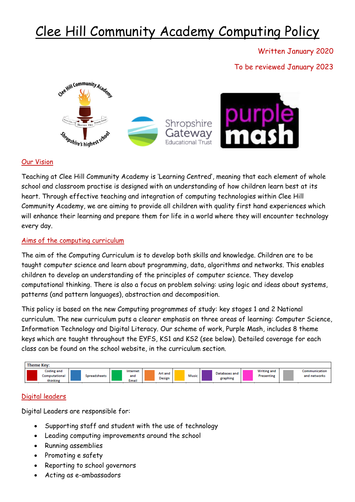# Clee Hill Community Academy Computing Policy

Written January 2020

To be reviewed January 2023



## Our Vision

Teaching at Clee Hill Community Academy is 'Learning Centred', meaning that each element of whole school and classroom practise is designed with an understanding of how children learn best at its heart. Through effective teaching and integration of computing technologies within Clee Hill Community Academy, we are aiming to provide all children with quality first hand experiences which will enhance their learning and prepare them for life in a world where they will encounter technology every day.

## Aims of the computing curriculum

The aim of the Computing Curriculum is to develop both skills and knowledge. Children are to be taught computer science and learn about programming, data, algorithms and networks. This enables children to develop an understanding of the principles of computer science. They develop computational thinking. There is also a focus on problem solving: using logic and ideas about systems, patterns (and pattern languages), abstraction and decomposition.

This policy is based on the new Computing programmes of study: key stages 1 and 2 National curriculum. The new curriculum puts a clearer emphasis on three areas of learning: Computer Science, Information Technology and Digital Literacy. Our scheme of work, Purple Mash, includes 8 theme keys which are taught throughout the EYFS, KS1 and KS2 (see below). Detailed coverage for each class can be found on the school website, in the curriculum section.



## Digital leaders

Digital Leaders are responsible for:

- Supporting staff and student with the use of technology
- Leading computing improvements around the school
- Running assemblies
- Promoting e safety
- Reporting to school governors
- Acting as e-ambassadors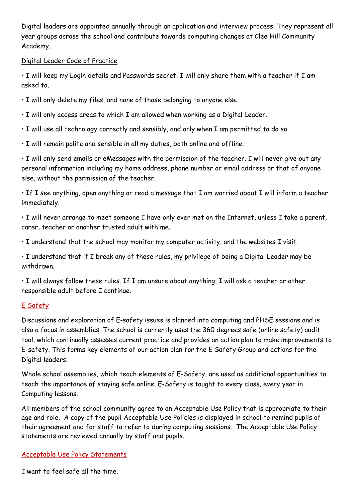Digital leaders are appointed annually through an application and interview process. They represent all year groups across the school and contribute towards computing changes at Clee Hill Community Academy.

## Digital Leader Code of Practice

• I will keep my Login details and Passwords secret. I will only share them with a teacher if I am asked to.

- I will only delete my files, and none of those belonging to anyone else.
- I will only access areas to which I am allowed when working as a Digital Leader.
- I will use all technology correctly and sensibly, and only when I am permitted to do so.
- I will remain polite and sensible in all my duties, both online and offline.

• I will only send emails or eMessages with the permission of the teacher. I will never give out any personal information including my home address, phone number or email address or that of anyone else, without the permission of the teacher.

• If I see anything, open anything or read a message that I am worried about I will inform a teacher immediately.

• I will never arrange to meet someone I have only ever met on the Internet, unless I take a parent, carer, teacher or another trusted adult with me.

• I understand that the school may monitor my computer activity, and the websites I visit.

• I understand that if I break any of these rules, my privilege of being a Digital Leader may be withdrawn.

• I will always follow these rules. If I am unsure about anything, I will ask a teacher or other responsible adult before I continue.

## E Safety

Discussions and exploration of E-safety issues is planned into computing and PHSE sessions and is also a focus in assemblies. The school is currently uses the 360 degrees safe (online safety) audit tool, which continually assesses current practice and provides an action plan to make improvements to E-safety. This forms key elements of our action plan for the E Safety Group and actions for the Digital leaders.

Whole school assemblies, which teach elements of E-Safety, are used as additional opportunities to teach the importance of staying safe online. E-Safety is taught to every class, every year in Computing lessons.

All members of the school community agree to an Acceptable Use Policy that is appropriate to their age and role. A copy of the pupil Acceptable Use Policies is displayed in school to remind pupils of their agreement and for staff to refer to during computing sessions. The Acceptable Use Policy statements are reviewed annually by staff and pupils.

## Acceptable Use Policy Statements

I want to feel safe all the time.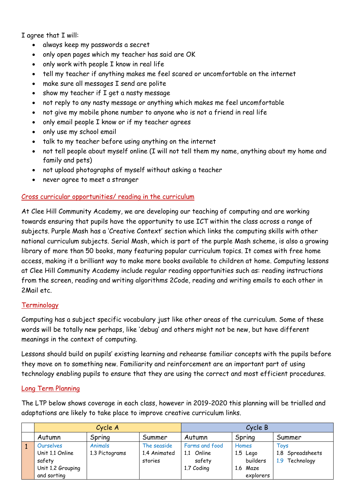I agree that I will:

- always keep my passwords a secret
- only open pages which my teacher has said are OK
- only work with people I know in real life
- tell my teacher if anything makes me feel scared or uncomfortable on the internet
- make sure all messages I send are polite
- show my teacher if I get a nasty message
- not reply to any nasty message or anything which makes me feel uncomfortable
- not give my mobile phone number to anyone who is not a friend in real life
- only email people I know or if my teacher agrees
- only use my school email
- talk to my teacher before using anything on the internet
- not tell people about myself online (I will not tell them my name, anything about my home and family and pets)
- not upload photographs of myself without asking a teacher
- never agree to meet a stranger

## Cross curricular opportunities/ reading in the curriculum

At Clee Hill Community Academy, we are developing our teaching of computing and are working towards ensuring that pupils have the opportunity to use ICT within the class across a range of subjects. Purple Mash has a 'Creative Context' section which links the computing skills with other national curriculum subjects. Serial Mash, which is part of the purple Mash scheme, is also a growing library of more than 50 books, many featuring popular curriculum topics. It comes with free home access, making it a brilliant way to make more books available to children at home. Computing lessons at Clee Hill Community Academy include regular reading opportunities such as: reading instructions from the screen, reading and writing algorithms 2Code, reading and writing emails to each other in 2Mail etc.

## **Terminology**

Computing has a subject specific vocabulary just like other areas of the curriculum. Some of these words will be totally new perhaps, like 'debug' and others might not be new, but have different meanings in the context of computing.

Lessons should build on pupils' existing learning and rehearse familiar concepts with the pupils before they move on to something new. Familiarity and reinforcement are an important part of using technology enabling pupils to ensure that they are using the correct and most efficient procedures.

## Long Term Planning

The LTP below shows coverage in each class, however in 2019-2020 this planning will be trialled and adaptations are likely to take place to improve creative curriculum links.

| Cycle A           |                |              | Cycle B        |            |                   |
|-------------------|----------------|--------------|----------------|------------|-------------------|
| Autumn            | Spring         | Summer       | Autumn         | Spring     | Summer            |
| Ourselves         | Animals        | The seaside  | Farms and food | Homes      | Toys              |
| Unit 1.1 Online   | 1.3 Pictograms | 1.4 Animated | Online<br>1.1  | $1.5$ Lego | 1.8 Spreadsheets  |
| safety            |                | stories      | safety         | builders   | Technology<br>1.9 |
| Unit 1.2 Grouping |                |              | 1.7 Coding     | 1.6 Maze   |                   |
| and sorting       |                |              |                | explorers  |                   |